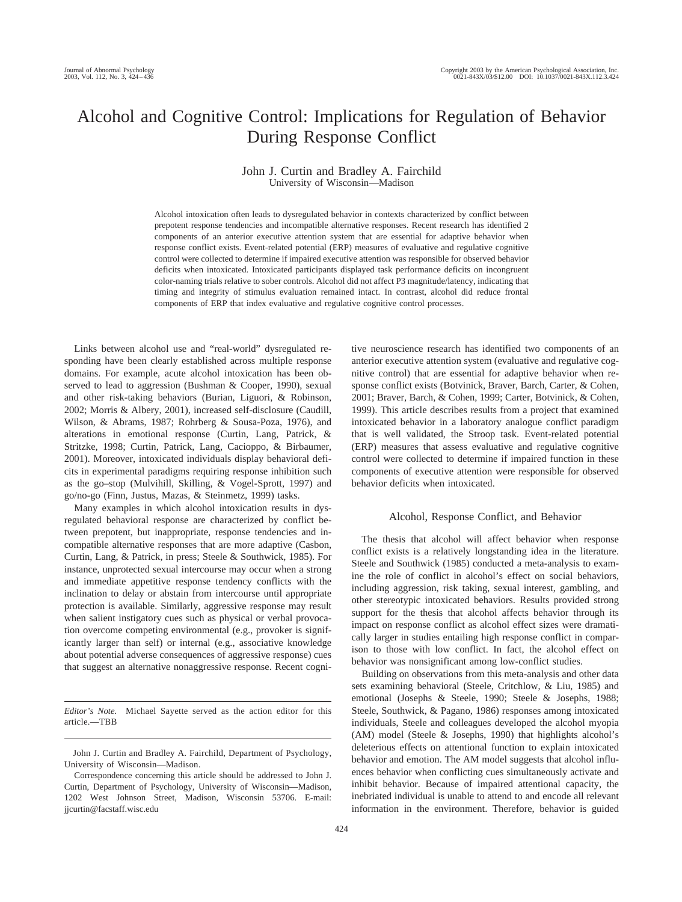# Alcohol and Cognitive Control: Implications for Regulation of Behavior During Response Conflict

## John J. Curtin and Bradley A. Fairchild

University of Wisconsin—Madison

Alcohol intoxication often leads to dysregulated behavior in contexts characterized by conflict between prepotent response tendencies and incompatible alternative responses. Recent research has identified 2 components of an anterior executive attention system that are essential for adaptive behavior when response conflict exists. Event-related potential (ERP) measures of evaluative and regulative cognitive control were collected to determine if impaired executive attention was responsible for observed behavior deficits when intoxicated. Intoxicated participants displayed task performance deficits on incongruent color-naming trials relative to sober controls. Alcohol did not affect P3 magnitude/latency, indicating that timing and integrity of stimulus evaluation remained intact. In contrast, alcohol did reduce frontal components of ERP that index evaluative and regulative cognitive control processes.

Links between alcohol use and "real-world" dysregulated responding have been clearly established across multiple response domains. For example, acute alcohol intoxication has been observed to lead to aggression (Bushman & Cooper, 1990), sexual and other risk-taking behaviors (Burian, Liguori, & Robinson, 2002; Morris & Albery, 2001), increased self-disclosure (Caudill, Wilson, & Abrams, 1987; Rohrberg & Sousa-Poza, 1976), and alterations in emotional response (Curtin, Lang, Patrick, & Stritzke, 1998; Curtin, Patrick, Lang, Cacioppo, & Birbaumer, 2001). Moreover, intoxicated individuals display behavioral deficits in experimental paradigms requiring response inhibition such as the go–stop (Mulvihill, Skilling, & Vogel-Sprott, 1997) and go/no-go (Finn, Justus, Mazas, & Steinmetz, 1999) tasks.

Many examples in which alcohol intoxication results in dysregulated behavioral response are characterized by conflict between prepotent, but inappropriate, response tendencies and incompatible alternative responses that are more adaptive (Casbon, Curtin, Lang, & Patrick, in press; Steele & Southwick, 1985). For instance, unprotected sexual intercourse may occur when a strong and immediate appetitive response tendency conflicts with the inclination to delay or abstain from intercourse until appropriate protection is available. Similarly, aggressive response may result when salient instigatory cues such as physical or verbal provocation overcome competing environmental (e.g., provoker is significantly larger than self) or internal (e.g., associative knowledge about potential adverse consequences of aggressive response) cues that suggest an alternative nonaggressive response. Recent cogni-

*Editor's Note.* Michael Sayette served as the action editor for this article.—TBB

tive neuroscience research has identified two components of an anterior executive attention system (evaluative and regulative cognitive control) that are essential for adaptive behavior when response conflict exists (Botvinick, Braver, Barch, Carter, & Cohen, 2001; Braver, Barch, & Cohen, 1999; Carter, Botvinick, & Cohen, 1999). This article describes results from a project that examined intoxicated behavior in a laboratory analogue conflict paradigm that is well validated, the Stroop task. Event-related potential (ERP) measures that assess evaluative and regulative cognitive control were collected to determine if impaired function in these components of executive attention were responsible for observed behavior deficits when intoxicated.

#### Alcohol, Response Conflict, and Behavior

The thesis that alcohol will affect behavior when response conflict exists is a relatively longstanding idea in the literature. Steele and Southwick (1985) conducted a meta-analysis to examine the role of conflict in alcohol's effect on social behaviors, including aggression, risk taking, sexual interest, gambling, and other stereotypic intoxicated behaviors. Results provided strong support for the thesis that alcohol affects behavior through its impact on response conflict as alcohol effect sizes were dramatically larger in studies entailing high response conflict in comparison to those with low conflict. In fact, the alcohol effect on behavior was nonsignificant among low-conflict studies.

Building on observations from this meta-analysis and other data sets examining behavioral (Steele, Critchlow, & Liu, 1985) and emotional (Josephs & Steele, 1990; Steele & Josephs, 1988; Steele, Southwick, & Pagano, 1986) responses among intoxicated individuals, Steele and colleagues developed the alcohol myopia (AM) model (Steele & Josephs, 1990) that highlights alcohol's deleterious effects on attentional function to explain intoxicated behavior and emotion. The AM model suggests that alcohol influences behavior when conflicting cues simultaneously activate and inhibit behavior. Because of impaired attentional capacity, the inebriated individual is unable to attend to and encode all relevant information in the environment. Therefore, behavior is guided

John J. Curtin and Bradley A. Fairchild, Department of Psychology, University of Wisconsin—Madison.

Correspondence concerning this article should be addressed to John J. Curtin, Department of Psychology, University of Wisconsin—Madison, 1202 West Johnson Street, Madison, Wisconsin 53706. E-mail: jjcurtin@facstaff.wisc.edu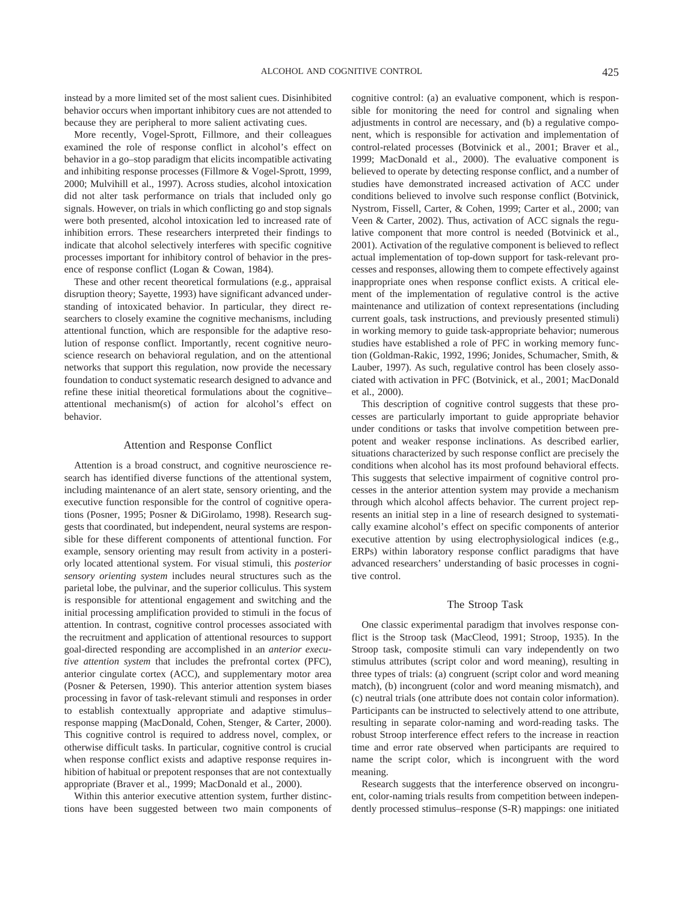instead by a more limited set of the most salient cues. Disinhibited behavior occurs when important inhibitory cues are not attended to because they are peripheral to more salient activating cues.

More recently, Vogel-Sprott, Fillmore, and their colleagues examined the role of response conflict in alcohol's effect on behavior in a go–stop paradigm that elicits incompatible activating and inhibiting response processes (Fillmore & Vogel-Sprott, 1999, 2000; Mulvihill et al., 1997). Across studies, alcohol intoxication did not alter task performance on trials that included only go signals. However, on trials in which conflicting go and stop signals were both presented, alcohol intoxication led to increased rate of inhibition errors. These researchers interpreted their findings to indicate that alcohol selectively interferes with specific cognitive processes important for inhibitory control of behavior in the presence of response conflict (Logan & Cowan, 1984).

These and other recent theoretical formulations (e.g., appraisal disruption theory; Sayette, 1993) have significant advanced understanding of intoxicated behavior. In particular, they direct researchers to closely examine the cognitive mechanisms, including attentional function, which are responsible for the adaptive resolution of response conflict. Importantly, recent cognitive neuroscience research on behavioral regulation, and on the attentional networks that support this regulation, now provide the necessary foundation to conduct systematic research designed to advance and refine these initial theoretical formulations about the cognitive– attentional mechanism(s) of action for alcohol's effect on behavior.

#### Attention and Response Conflict

Attention is a broad construct, and cognitive neuroscience research has identified diverse functions of the attentional system, including maintenance of an alert state, sensory orienting, and the executive function responsible for the control of cognitive operations (Posner, 1995; Posner & DiGirolamo, 1998). Research suggests that coordinated, but independent, neural systems are responsible for these different components of attentional function. For example, sensory orienting may result from activity in a posteriorly located attentional system. For visual stimuli, this *posterior sensory orienting system* includes neural structures such as the parietal lobe, the pulvinar, and the superior colliculus. This system is responsible for attentional engagement and switching and the initial processing amplification provided to stimuli in the focus of attention. In contrast, cognitive control processes associated with the recruitment and application of attentional resources to support goal-directed responding are accomplished in an *anterior executive attention system* that includes the prefrontal cortex (PFC), anterior cingulate cortex (ACC), and supplementary motor area (Posner & Petersen, 1990). This anterior attention system biases processing in favor of task-relevant stimuli and responses in order to establish contextually appropriate and adaptive stimulus– response mapping (MacDonald, Cohen, Stenger, & Carter, 2000). This cognitive control is required to address novel, complex, or otherwise difficult tasks. In particular, cognitive control is crucial when response conflict exists and adaptive response requires inhibition of habitual or prepotent responses that are not contextually appropriate (Braver et al., 1999; MacDonald et al., 2000).

Within this anterior executive attention system, further distinctions have been suggested between two main components of cognitive control: (a) an evaluative component, which is responsible for monitoring the need for control and signaling when adjustments in control are necessary, and (b) a regulative component, which is responsible for activation and implementation of control-related processes (Botvinick et al., 2001; Braver et al., 1999; MacDonald et al., 2000). The evaluative component is believed to operate by detecting response conflict, and a number of studies have demonstrated increased activation of ACC under conditions believed to involve such response conflict (Botvinick, Nystrom, Fissell, Carter, & Cohen, 1999; Carter et al., 2000; van Veen & Carter, 2002). Thus, activation of ACC signals the regulative component that more control is needed (Botvinick et al., 2001). Activation of the regulative component is believed to reflect actual implementation of top-down support for task-relevant processes and responses, allowing them to compete effectively against inappropriate ones when response conflict exists. A critical element of the implementation of regulative control is the active maintenance and utilization of context representations (including current goals, task instructions, and previously presented stimuli) in working memory to guide task-appropriate behavior; numerous studies have established a role of PFC in working memory function (Goldman-Rakic, 1992, 1996; Jonides, Schumacher, Smith, & Lauber, 1997). As such, regulative control has been closely associated with activation in PFC (Botvinick, et al., 2001; MacDonald et al., 2000).

This description of cognitive control suggests that these processes are particularly important to guide appropriate behavior under conditions or tasks that involve competition between prepotent and weaker response inclinations. As described earlier, situations characterized by such response conflict are precisely the conditions when alcohol has its most profound behavioral effects. This suggests that selective impairment of cognitive control processes in the anterior attention system may provide a mechanism through which alcohol affects behavior. The current project represents an initial step in a line of research designed to systematically examine alcohol's effect on specific components of anterior executive attention by using electrophysiological indices (e.g., ERPs) within laboratory response conflict paradigms that have advanced researchers' understanding of basic processes in cognitive control.

## The Stroop Task

One classic experimental paradigm that involves response conflict is the Stroop task (MacCleod, 1991; Stroop, 1935). In the Stroop task, composite stimuli can vary independently on two stimulus attributes (script color and word meaning), resulting in three types of trials: (a) congruent (script color and word meaning match), (b) incongruent (color and word meaning mismatch), and (c) neutral trials (one attribute does not contain color information). Participants can be instructed to selectively attend to one attribute, resulting in separate color-naming and word-reading tasks. The robust Stroop interference effect refers to the increase in reaction time and error rate observed when participants are required to name the script color, which is incongruent with the word meaning.

Research suggests that the interference observed on incongruent, color-naming trials results from competition between independently processed stimulus–response (S-R) mappings: one initiated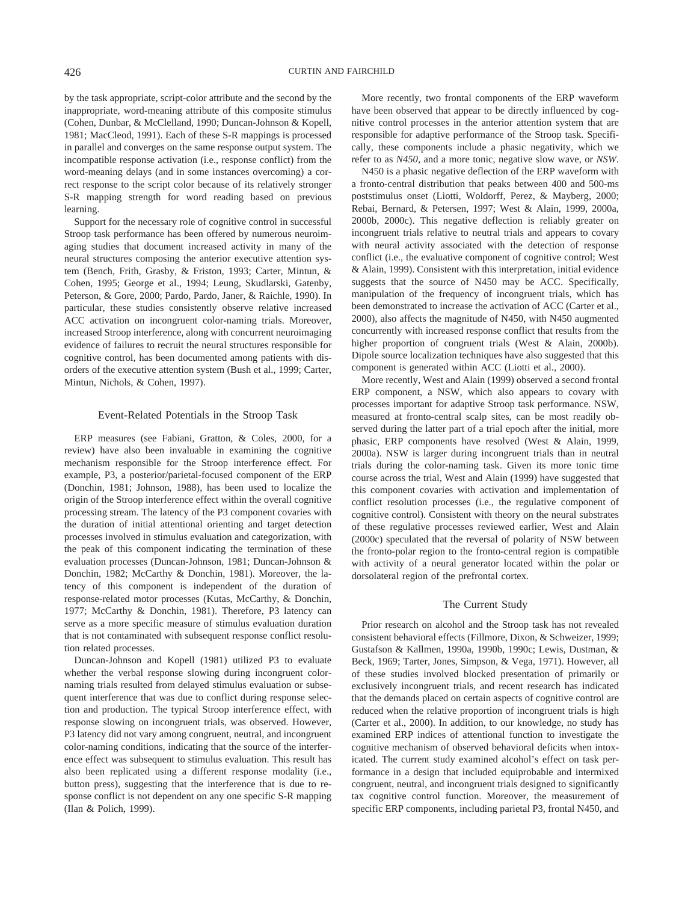by the task appropriate, script-color attribute and the second by the inappropriate, word-meaning attribute of this composite stimulus (Cohen, Dunbar, & McClelland, 1990; Duncan-Johnson & Kopell, 1981; MacCleod, 1991). Each of these S-R mappings is processed in parallel and converges on the same response output system. The incompatible response activation (i.e., response conflict) from the word-meaning delays (and in some instances overcoming) a correct response to the script color because of its relatively stronger S-R mapping strength for word reading based on previous learning.

Support for the necessary role of cognitive control in successful Stroop task performance has been offered by numerous neuroimaging studies that document increased activity in many of the neural structures composing the anterior executive attention system (Bench, Frith, Grasby, & Friston, 1993; Carter, Mintun, & Cohen, 1995; George et al., 1994; Leung, Skudlarski, Gatenby, Peterson, & Gore, 2000; Pardo, Pardo, Janer, & Raichle, 1990). In particular, these studies consistently observe relative increased ACC activation on incongruent color-naming trials. Moreover, increased Stroop interference, along with concurrent neuroimaging evidence of failures to recruit the neural structures responsible for cognitive control, has been documented among patients with disorders of the executive attention system (Bush et al., 1999; Carter, Mintun, Nichols, & Cohen, 1997).

#### Event-Related Potentials in the Stroop Task

ERP measures (see Fabiani, Gratton, & Coles, 2000, for a review) have also been invaluable in examining the cognitive mechanism responsible for the Stroop interference effect. For example, P3, a posterior/parietal-focused component of the ERP (Donchin, 1981; Johnson, 1988), has been used to localize the origin of the Stroop interference effect within the overall cognitive processing stream. The latency of the P3 component covaries with the duration of initial attentional orienting and target detection processes involved in stimulus evaluation and categorization, with the peak of this component indicating the termination of these evaluation processes (Duncan-Johnson, 1981; Duncan-Johnson & Donchin, 1982; McCarthy & Donchin, 1981). Moreover, the latency of this component is independent of the duration of response-related motor processes (Kutas, McCarthy, & Donchin, 1977; McCarthy & Donchin, 1981). Therefore, P3 latency can serve as a more specific measure of stimulus evaluation duration that is not contaminated with subsequent response conflict resolution related processes.

Duncan-Johnson and Kopell (1981) utilized P3 to evaluate whether the verbal response slowing during incongruent colornaming trials resulted from delayed stimulus evaluation or subsequent interference that was due to conflict during response selection and production. The typical Stroop interference effect, with response slowing on incongruent trials, was observed. However, P3 latency did not vary among congruent, neutral, and incongruent color-naming conditions, indicating that the source of the interference effect was subsequent to stimulus evaluation. This result has also been replicated using a different response modality (i.e., button press), suggesting that the interference that is due to response conflict is not dependent on any one specific S-R mapping (Ilan & Polich, 1999).

More recently, two frontal components of the ERP waveform have been observed that appear to be directly influenced by cognitive control processes in the anterior attention system that are responsible for adaptive performance of the Stroop task. Specifically, these components include a phasic negativity, which we refer to as *N450*, and a more tonic, negative slow wave, or *NSW*.

N450 is a phasic negative deflection of the ERP waveform with a fronto-central distribution that peaks between 400 and 500-ms poststimulus onset (Liotti, Woldorff, Perez, & Mayberg, 2000; Rebai, Bernard, & Petersen, 1997; West & Alain, 1999, 2000a, 2000b, 2000c). This negative deflection is reliably greater on incongruent trials relative to neutral trials and appears to covary with neural activity associated with the detection of response conflict (i.e., the evaluative component of cognitive control; West & Alain, 1999). Consistent with this interpretation, initial evidence suggests that the source of N450 may be ACC. Specifically, manipulation of the frequency of incongruent trials, which has been demonstrated to increase the activation of ACC (Carter et al., 2000), also affects the magnitude of N450, with N450 augmented concurrently with increased response conflict that results from the higher proportion of congruent trials (West & Alain, 2000b). Dipole source localization techniques have also suggested that this component is generated within ACC (Liotti et al., 2000).

More recently, West and Alain (1999) observed a second frontal ERP component, a NSW, which also appears to covary with processes important for adaptive Stroop task performance. NSW, measured at fronto-central scalp sites, can be most readily observed during the latter part of a trial epoch after the initial, more phasic, ERP components have resolved (West & Alain, 1999, 2000a). NSW is larger during incongruent trials than in neutral trials during the color-naming task. Given its more tonic time course across the trial, West and Alain (1999) have suggested that this component covaries with activation and implementation of conflict resolution processes (i.e., the regulative component of cognitive control). Consistent with theory on the neural substrates of these regulative processes reviewed earlier, West and Alain (2000c) speculated that the reversal of polarity of NSW between the fronto-polar region to the fronto-central region is compatible with activity of a neural generator located within the polar or dorsolateral region of the prefrontal cortex.

## The Current Study

Prior research on alcohol and the Stroop task has not revealed consistent behavioral effects (Fillmore, Dixon, & Schweizer, 1999; Gustafson & Kallmen, 1990a, 1990b, 1990c; Lewis, Dustman, & Beck, 1969; Tarter, Jones, Simpson, & Vega, 1971). However, all of these studies involved blocked presentation of primarily or exclusively incongruent trials, and recent research has indicated that the demands placed on certain aspects of cognitive control are reduced when the relative proportion of incongruent trials is high (Carter et al., 2000). In addition, to our knowledge, no study has examined ERP indices of attentional function to investigate the cognitive mechanism of observed behavioral deficits when intoxicated. The current study examined alcohol's effect on task performance in a design that included equiprobable and intermixed congruent, neutral, and incongruent trials designed to significantly tax cognitive control function. Moreover, the measurement of specific ERP components, including parietal P3, frontal N450, and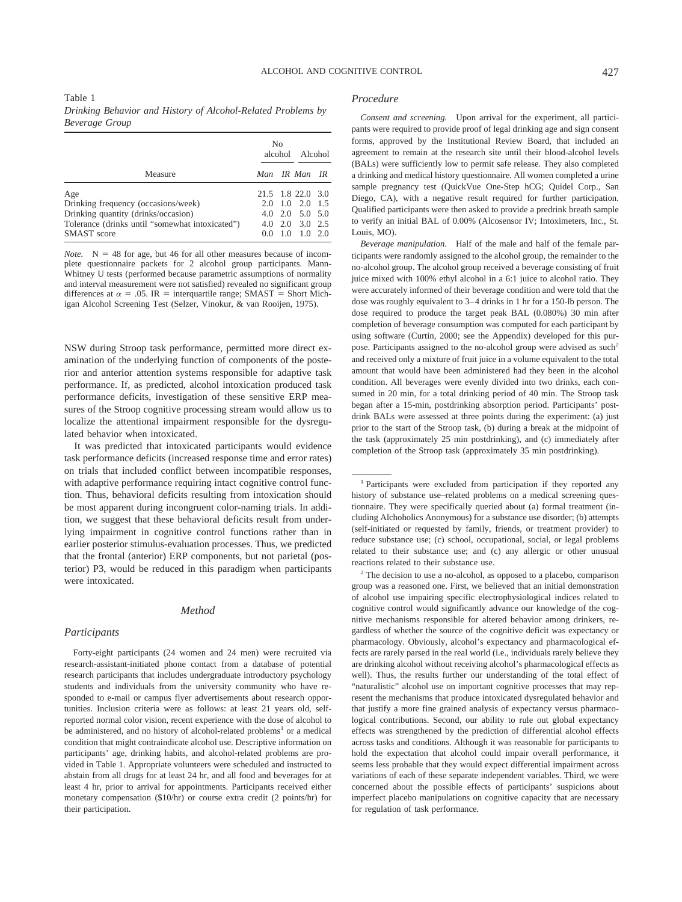Table 1 *Drinking Behavior and History of Alcohol-Related Problems by Beverage Group*

|                                                 | N <sub>0</sub> | alcohol Alcohol |                         |  |
|-------------------------------------------------|----------------|-----------------|-------------------------|--|
| Measure                                         |                |                 | Man IR Man IR           |  |
| Age                                             |                |                 | 21.5 1.8 22.0 3.0       |  |
| Drinking frequency (occasions/week)             |                |                 | $2.0$ 1.0 $2.0$ 1.5     |  |
| Drinking quantity (drinks/occasion)             |                |                 | $4.0$ $2.0$ $5.0$ $5.0$ |  |
| Tolerance (drinks until "somewhat intoxicated") |                |                 | 4.0 2.0 3.0 2.5         |  |
| <b>SMAST</b> score                              |                | 1.0             | $1.0\quad2.0$           |  |

*Note.*  $N = 48$  for age, but 46 for all other measures because of incomplete questionnaire packets for 2 alcohol group participants. Mann-Whitney U tests (performed because parametric assumptions of normality and interval measurement were not satisfied) revealed no significant group differences at  $\alpha = .05$ . IR = interquartile range; SMAST = Short Michigan Alcohol Screening Test (Selzer, Vinokur, & van Rooijen, 1975).

NSW during Stroop task performance, permitted more direct examination of the underlying function of components of the posterior and anterior attention systems responsible for adaptive task performance. If, as predicted, alcohol intoxication produced task performance deficits, investigation of these sensitive ERP measures of the Stroop cognitive processing stream would allow us to localize the attentional impairment responsible for the dysregulated behavior when intoxicated.

It was predicted that intoxicated participants would evidence task performance deficits (increased response time and error rates) on trials that included conflict between incompatible responses, with adaptive performance requiring intact cognitive control function. Thus, behavioral deficits resulting from intoxication should be most apparent during incongruent color-naming trials. In addition, we suggest that these behavioral deficits result from underlying impairment in cognitive control functions rather than in earlier posterior stimulus-evaluation processes. Thus, we predicted that the frontal (anterior) ERP components, but not parietal (posterior) P3, would be reduced in this paradigm when participants were intoxicated.

#### *Method*

#### *Participants*

Forty-eight participants (24 women and 24 men) were recruited via research-assistant-initiated phone contact from a database of potential research participants that includes undergraduate introductory psychology students and individuals from the university community who have responded to e-mail or campus flyer advertisements about research opportunities. Inclusion criteria were as follows: at least 21 years old, selfreported normal color vision, recent experience with the dose of alcohol to be administered, and no history of alcohol-related problems<sup>1</sup> or a medical condition that might contraindicate alcohol use. Descriptive information on participants' age, drinking habits, and alcohol-related problems are provided in Table 1. Appropriate volunteers were scheduled and instructed to abstain from all drugs for at least 24 hr, and all food and beverages for at least 4 hr, prior to arrival for appointments. Participants received either monetary compensation (\$10/hr) or course extra credit (2 points/hr) for their participation.

## *Procedure*

*Consent and screening.* Upon arrival for the experiment, all participants were required to provide proof of legal drinking age and sign consent forms, approved by the Institutional Review Board, that included an agreement to remain at the research site until their blood-alcohol levels (BALs) were sufficiently low to permit safe release. They also completed a drinking and medical history questionnaire. All women completed a urine sample pregnancy test (QuickVue One-Step hCG; Quidel Corp., San Diego, CA), with a negative result required for further participation. Qualified participants were then asked to provide a predrink breath sample to verify an initial BAL of 0.00% (Alcosensor IV; Intoximeters, Inc., St. Louis, MO).

*Beverage manipulation.* Half of the male and half of the female participants were randomly assigned to the alcohol group, the remainder to the no-alcohol group. The alcohol group received a beverage consisting of fruit juice mixed with 100% ethyl alcohol in a 6:1 juice to alcohol ratio. They were accurately informed of their beverage condition and were told that the dose was roughly equivalent to 3–4 drinks in 1 hr for a 150-lb person. The dose required to produce the target peak BAL (0.080%) 30 min after completion of beverage consumption was computed for each participant by using software (Curtin, 2000; see the Appendix) developed for this purpose. Participants assigned to the no-alcohol group were advised as such<sup>2</sup> and received only a mixture of fruit juice in a volume equivalent to the total amount that would have been administered had they been in the alcohol condition. All beverages were evenly divided into two drinks, each consumed in 20 min, for a total drinking period of 40 min. The Stroop task began after a 15-min, postdrinking absorption period. Participants' postdrink BALs were assessed at three points during the experiment: (a) just prior to the start of the Stroop task, (b) during a break at the midpoint of the task (approximately 25 min postdrinking), and (c) immediately after completion of the Stroop task (approximately 35 min postdrinking).

<sup>1</sup> Participants were excluded from participation if they reported any history of substance use–related problems on a medical screening questionnaire. They were specifically queried about (a) formal treatment (including Alchoholics Anonymous) for a substance use disorder; (b) attempts (self-initiated or requested by family, friends, or treatment provider) to reduce substance use; (c) school, occupational, social, or legal problems related to their substance use; and (c) any allergic or other unusual reactions related to their substance use.

<sup>2</sup> The decision to use a no-alcohol, as opposed to a placebo, comparison group was a reasoned one. First, we believed that an initial demonstration of alcohol use impairing specific electrophysiological indices related to cognitive control would significantly advance our knowledge of the cognitive mechanisms responsible for altered behavior among drinkers, regardless of whether the source of the cognitive deficit was expectancy or pharmacology. Obviously, alcohol's expectancy and pharmacological effects are rarely parsed in the real world (i.e., individuals rarely believe they are drinking alcohol without receiving alcohol's pharmacological effects as well). Thus, the results further our understanding of the total effect of "naturalistic" alcohol use on important cognitive processes that may represent the mechanisms that produce intoxicated dysregulated behavior and that justify a more fine grained analysis of expectancy versus pharmacological contributions. Second, our ability to rule out global expectancy effects was strengthened by the prediction of differential alcohol effects across tasks and conditions. Although it was reasonable for participants to hold the expectation that alcohol could impair overall performance, it seems less probable that they would expect differential impairment across variations of each of these separate independent variables. Third, we were concerned about the possible effects of participants' suspicions about imperfect placebo manipulations on cognitive capacity that are necessary for regulation of task performance.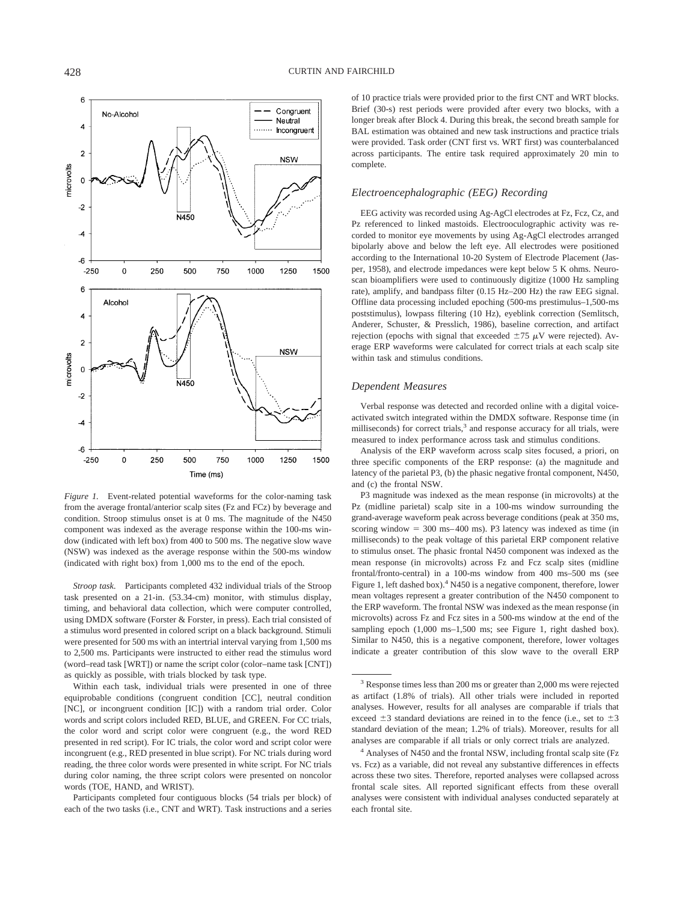

*Figure 1.* Event-related potential waveforms for the color-naming task from the average frontal/anterior scalp sites (Fz and FCz) by beverage and condition. Stroop stimulus onset is at 0 ms. The magnitude of the N450 component was indexed as the average response within the 100-ms window (indicated with left box) from 400 to 500 ms. The negative slow wave (NSW) was indexed as the average response within the 500-ms window (indicated with right box) from 1,000 ms to the end of the epoch.

*Stroop task.* Participants completed 432 individual trials of the Stroop task presented on a 21-in. (53.34-cm) monitor, with stimulus display, timing, and behavioral data collection, which were computer controlled, using DMDX software (Forster & Forster, in press). Each trial consisted of a stimulus word presented in colored script on a black background. Stimuli were presented for 500 ms with an intertrial interval varying from 1,500 ms to 2,500 ms. Participants were instructed to either read the stimulus word (word–read task [WRT]) or name the script color (color–name task [CNT]) as quickly as possible, with trials blocked by task type.

Within each task, individual trials were presented in one of three equiprobable conditions (congruent condition [CC], neutral condition [NC], or incongruent condition [IC]) with a random trial order. Color words and script colors included RED, BLUE, and GREEN. For CC trials, the color word and script color were congruent (e.g., the word RED presented in red script). For IC trials, the color word and script color were incongruent (e.g., RED presented in blue script). For NC trials during word reading, the three color words were presented in white script. For NC trials during color naming, the three script colors were presented on noncolor words (TOE, HAND, and WRIST).

Participants completed four contiguous blocks (54 trials per block) of each of the two tasks (i.e., CNT and WRT). Task instructions and a series

of 10 practice trials were provided prior to the first CNT and WRT blocks. Brief (30-s) rest periods were provided after every two blocks, with a longer break after Block 4. During this break, the second breath sample for BAL estimation was obtained and new task instructions and practice trials were provided. Task order (CNT first vs. WRT first) was counterbalanced across participants. The entire task required approximately 20 min to complete.

## *Electroencephalographic (EEG) Recording*

EEG activity was recorded using Ag-AgCl electrodes at Fz, Fcz, Cz, and Pz referenced to linked mastoids. Electrooculographic activity was recorded to monitor eye movements by using Ag-AgCl electrodes arranged bipolarly above and below the left eye. All electrodes were positioned according to the International 10-20 System of Electrode Placement (Jasper, 1958), and electrode impedances were kept below 5 K ohms. Neuroscan bioamplifiers were used to continuously digitize (1000 Hz sampling rate), amplify, and bandpass filter (0.15 Hz–200 Hz) the raw EEG signal. Offline data processing included epoching (500-ms prestimulus–1,500-ms poststimulus), lowpass filtering (10 Hz), eyeblink correction (Semlitsch, Anderer, Schuster, & Presslich, 1986), baseline correction, and artifact rejection (epochs with signal that exceeded  $\pm 75 \mu$ V were rejected). Average ERP waveforms were calculated for correct trials at each scalp site within task and stimulus conditions.

#### *Dependent Measures*

Verbal response was detected and recorded online with a digital voiceactivated switch integrated within the DMDX software. Response time (in milliseconds) for correct trials,<sup>3</sup> and response accuracy for all trials, were measured to index performance across task and stimulus conditions.

Analysis of the ERP waveform across scalp sites focused, a priori, on three specific components of the ERP response: (a) the magnitude and latency of the parietal P3, (b) the phasic negative frontal component, N450, and (c) the frontal NSW.

P3 magnitude was indexed as the mean response (in microvolts) at the Pz (midline parietal) scalp site in a 100-ms window surrounding the grand-average waveform peak across beverage conditions (peak at 350 ms, scoring window  $= 300$  ms–400 ms). P3 latency was indexed as time (in milliseconds) to the peak voltage of this parietal ERP component relative to stimulus onset. The phasic frontal N450 component was indexed as the mean response (in microvolts) across Fz and Fcz scalp sites (midline frontal/fronto-central) in a 100-ms window from 400 ms–500 ms (see Figure 1, left dashed box).<sup>4</sup> N450 is a negative component, therefore, lower mean voltages represent a greater contribution of the N450 component to the ERP waveform. The frontal NSW was indexed as the mean response (in microvolts) across Fz and Fcz sites in a 500-ms window at the end of the sampling epoch (1,000 ms-1,500 ms; see Figure 1, right dashed box). Similar to N450, this is a negative component, therefore, lower voltages indicate a greater contribution of this slow wave to the overall ERP

<sup>3</sup> Response times less than 200 ms or greater than 2,000 ms were rejected as artifact (1.8% of trials). All other trials were included in reported analyses. However, results for all analyses are comparable if trials that exceed  $\pm 3$  standard deviations are reined in to the fence (i.e., set to  $\pm 3$ standard deviation of the mean; 1.2% of trials). Moreover, results for all analyses are comparable if all trials or only correct trials are analyzed.

<sup>4</sup> Analyses of N450 and the frontal NSW, including frontal scalp site (Fz vs. Fcz) as a variable, did not reveal any substantive differences in effects across these two sites. Therefore, reported analyses were collapsed across frontal scale sites. All reported significant effects from these overall analyses were consistent with individual analyses conducted separately at each frontal site.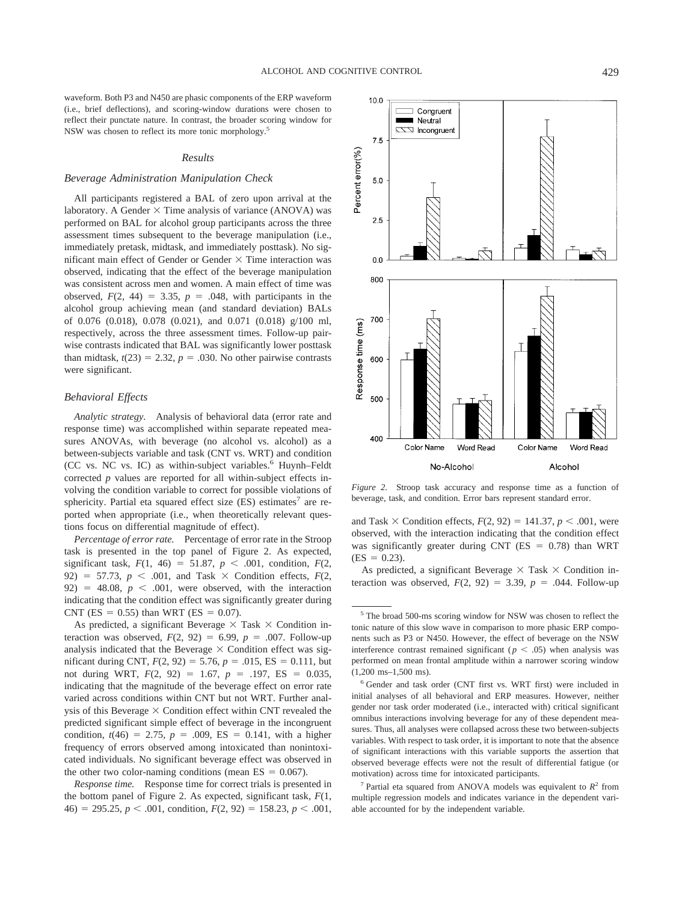waveform. Both P3 and N450 are phasic components of the ERP waveform (i.e., brief deflections), and scoring-window durations were chosen to reflect their punctate nature. In contrast, the broader scoring window for NSW was chosen to reflect its more tonic morphology.<sup>5</sup>

#### *Results*

#### *Beverage Administration Manipulation Check*

All participants registered a BAL of zero upon arrival at the laboratory. A Gender  $\times$  Time analysis of variance (ANOVA) was performed on BAL for alcohol group participants across the three assessment times subsequent to the beverage manipulation (i.e., immediately pretask, midtask, and immediately posttask). No significant main effect of Gender or Gender  $\times$  Time interaction was observed, indicating that the effect of the beverage manipulation was consistent across men and women. A main effect of time was observed,  $F(2, 44) = 3.35$ ,  $p = .048$ , with participants in the alcohol group achieving mean (and standard deviation) BALs of 0.076 (0.018), 0.078 (0.021), and 0.071 (0.018) g/100 ml, respectively, across the three assessment times. Follow-up pairwise contrasts indicated that BAL was significantly lower posttask than midtask,  $t(23) = 2.32$ ,  $p = .030$ . No other pairwise contrasts were significant.

#### *Behavioral Effects*

*Analytic strategy.* Analysis of behavioral data (error rate and response time) was accomplished within separate repeated measures ANOVAs, with beverage (no alcohol vs. alcohol) as a between-subjects variable and task (CNT vs. WRT) and condition (CC vs. NC vs. IC) as within-subject variables.<sup>6</sup> Huynh–Feldt corrected *p* values are reported for all within-subject effects involving the condition variable to correct for possible violations of sphericity. Partial eta squared effect size  $(ES)$  estimates<sup>7</sup> are reported when appropriate (i.e., when theoretically relevant questions focus on differential magnitude of effect).

*Percentage of error rate.* Percentage of error rate in the Stroop task is presented in the top panel of Figure 2. As expected, significant task,  $F(1, 46) = 51.87$ ,  $p < .001$ , condition,  $F(2, 46) = 51.87$ ,  $p < .001$ , condition,  $F(3, 46) = 51.87$ 92) = 57.73,  $p < .001$ , and Task  $\times$  Condition effects,  $F(2, 1)$  $92) = 48.08$ ,  $p < .001$ , were observed, with the interaction indicating that the condition effect was significantly greater during CNT (ES =  $0.55$ ) than WRT (ES = 0.07).

As predicted, a significant Beverage  $\times$  Task  $\times$  Condition interaction was observed,  $F(2, 92) = 6.99$ ,  $p = .007$ . Follow-up analysis indicated that the Beverage  $\times$  Condition effect was significant during CNT,  $F(2, 92) = 5.76$ ,  $p = .015$ , ES = 0.111, but not during WRT,  $F(2, 92) = 1.67$ ,  $p = .197$ ,  $ES = 0.035$ , indicating that the magnitude of the beverage effect on error rate varied across conditions within CNT but not WRT. Further analysis of this Beverage  $\times$  Condition effect within CNT revealed the predicted significant simple effect of beverage in the incongruent condition,  $t(46) = 2.75$ ,  $p = .009$ ,  $ES = 0.141$ , with a higher frequency of errors observed among intoxicated than nonintoxicated individuals. No significant beverage effect was observed in the other two color-naming conditions (mean  $ES = 0.067$ ).

*Response time.* Response time for correct trials is presented in the bottom panel of Figure 2. As expected, significant task, *F*(1,  $46) = 295.25, p < .001,$  condition,  $F(2, 92) = 158.23, p < .001,$ 



*Figure 2.* Stroop task accuracy and response time as a function of beverage, task, and condition. Error bars represent standard error.

and Task  $\times$  Condition effects,  $F(2, 92) = 141.37$ ,  $p < .001$ , were observed, with the interaction indicating that the condition effect was significantly greater during CNT ( $ES = 0.78$ ) than WRT  $(ES = 0.23)$ .

As predicted, a significant Beverage  $\times$  Task  $\times$  Condition interaction was observed,  $F(2, 92) = 3.39$ ,  $p = .044$ . Follow-up

<sup>7</sup> Partial eta squared from ANOVA models was equivalent to  $R^2$  from multiple regression models and indicates variance in the dependent variable accounted for by the independent variable.

<sup>5</sup> The broad 500-ms scoring window for NSW was chosen to reflect the tonic nature of this slow wave in comparison to more phasic ERP components such as P3 or N450. However, the effect of beverage on the NSW interference contrast remained significant ( $p < .05$ ) when analysis was performed on mean frontal amplitude within a narrower scoring window (1,200 ms–1,500 ms).

<sup>6</sup> Gender and task order (CNT first vs. WRT first) were included in initial analyses of all behavioral and ERP measures. However, neither gender nor task order moderated (i.e., interacted with) critical significant omnibus interactions involving beverage for any of these dependent measures. Thus, all analyses were collapsed across these two between-subjects variables. With respect to task order, it is important to note that the absence of significant interactions with this variable supports the assertion that observed beverage effects were not the result of differential fatigue (or motivation) across time for intoxicated participants.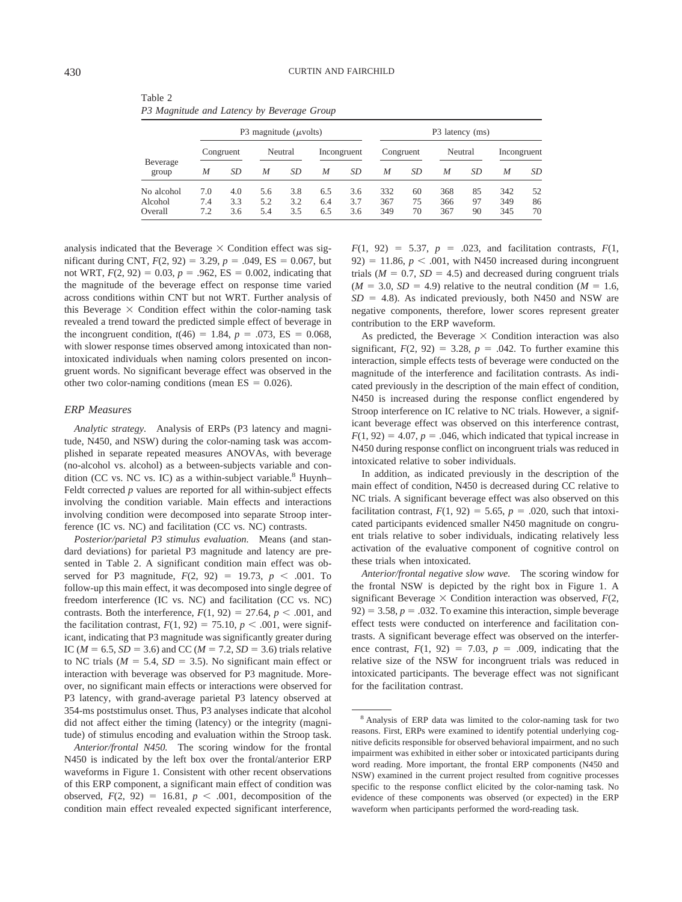| Beverage<br>group                | P3 magnitude $(\mu \text{volts})$ |                   |                   |                   |                   | P3 latency (ms)   |                   |                |                   |                |                   |                |
|----------------------------------|-----------------------------------|-------------------|-------------------|-------------------|-------------------|-------------------|-------------------|----------------|-------------------|----------------|-------------------|----------------|
|                                  | Congruent                         |                   | Neutral           |                   | Incongruent       |                   | Congruent         |                | Neutral           |                | Incongruent       |                |
|                                  | M                                 | SD                | M                 | SD                | M                 | SD                | M                 | SD             | M                 | SD             | M                 | SD             |
| No alcohol<br>Alcohol<br>Overall | 7.0<br>7.4<br>7.2                 | 4.0<br>3.3<br>3.6 | 5.6<br>5.2<br>5.4 | 3.8<br>3.2<br>3.5 | 6.5<br>6.4<br>6.5 | 3.6<br>3.7<br>3.6 | 332<br>367<br>349 | 60<br>75<br>70 | 368<br>366<br>367 | 85<br>97<br>90 | 342<br>349<br>345 | 52<br>86<br>70 |

Table 2 *P3 Magnitude and Latency by Beverage Group*

analysis indicated that the Beverage  $\times$  Condition effect was significant during CNT,  $F(2, 92) = 3.29$ ,  $p = .049$ , ES = 0.067, but not WRT,  $F(2, 92) = 0.03$ ,  $p = .962$ ,  $ES = 0.002$ , indicating that the magnitude of the beverage effect on response time varied across conditions within CNT but not WRT. Further analysis of this Beverage  $\times$  Condition effect within the color-naming task revealed a trend toward the predicted simple effect of beverage in the incongruent condition,  $t(46) = 1.84$ ,  $p = .073$ , ES = 0.068, with slower response times observed among intoxicated than nonintoxicated individuals when naming colors presented on incongruent words. No significant beverage effect was observed in the other two color-naming conditions (mean  $ES = 0.026$ ).

## *ERP Measures*

*Analytic strategy.* Analysis of ERPs (P3 latency and magnitude, N450, and NSW) during the color-naming task was accomplished in separate repeated measures ANOVAs, with beverage (no-alcohol vs. alcohol) as a between-subjects variable and condition (CC vs. NC vs. IC) as a within-subject variable.<sup>8</sup> Huynh– Feldt corrected *p* values are reported for all within-subject effects involving the condition variable. Main effects and interactions involving condition were decomposed into separate Stroop interference (IC vs. NC) and facilitation (CC vs. NC) contrasts.

*Posterior/parietal P3 stimulus evaluation.* Means (and standard deviations) for parietal P3 magnitude and latency are presented in Table 2. A significant condition main effect was observed for P3 magnitude,  $F(2, 92) = 19.73$ ,  $p < .001$ . To follow-up this main effect, it was decomposed into single degree of freedom interference (IC vs. NC) and facilitation (CC vs. NC) contrasts. Both the interference,  $F(1, 92) = 27.64$ ,  $p < .001$ , and the facilitation contrast,  $F(1, 92) = 75.10$ ,  $p < .001$ , were significant, indicating that P3 magnitude was significantly greater during IC ( $M = 6.5$ ,  $SD = 3.6$ ) and CC ( $M = 7.2$ ,  $SD = 3.6$ ) trials relative to NC trials ( $M = 5.4$ ,  $SD = 3.5$ ). No significant main effect or interaction with beverage was observed for P3 magnitude. Moreover, no significant main effects or interactions were observed for P3 latency, with grand-average parietal P3 latency observed at 354-ms poststimulus onset. Thus, P3 analyses indicate that alcohol did not affect either the timing (latency) or the integrity (magnitude) of stimulus encoding and evaluation within the Stroop task.

*Anterior/frontal N450.* The scoring window for the frontal N450 is indicated by the left box over the frontal/anterior ERP waveforms in Figure 1. Consistent with other recent observations of this ERP component, a significant main effect of condition was observed,  $F(2, 92) = 16.81$ ,  $p < .001$ , decomposition of the condition main effect revealed expected significant interference,  $F(1, 92) = 5.37$ ,  $p = .023$ , and facilitation contrasts,  $F(1, 92) = 5.37$ ,  $p = .023$ , and facilitation contrasts,  $F(1, 92) = 5.37$ 92) = 11.86,  $p < .001$ , with N450 increased during incongruent trials  $(M = 0.7, SD = 4.5)$  and decreased during congruent trials  $(M = 3.0, SD = 4.9)$  relative to the neutral condition  $(M = 1.6,$  $SD = 4.8$ ). As indicated previously, both N450 and NSW are negative components, therefore, lower scores represent greater contribution to the ERP waveform.

As predicted, the Beverage  $\times$  Condition interaction was also significant,  $F(2, 92) = 3.28$ ,  $p = .042$ . To further examine this interaction, simple effects tests of beverage were conducted on the magnitude of the interference and facilitation contrasts. As indicated previously in the description of the main effect of condition, N450 is increased during the response conflict engendered by Stroop interference on IC relative to NC trials. However, a significant beverage effect was observed on this interference contrast,  $F(1, 92) = 4.07$ ,  $p = .046$ , which indicated that typical increase in N450 during response conflict on incongruent trials was reduced in intoxicated relative to sober individuals.

In addition, as indicated previously in the description of the main effect of condition, N450 is decreased during CC relative to NC trials. A significant beverage effect was also observed on this facilitation contrast,  $F(1, 92) = 5.65$ ,  $p = .020$ , such that intoxicated participants evidenced smaller N450 magnitude on congruent trials relative to sober individuals, indicating relatively less activation of the evaluative component of cognitive control on these trials when intoxicated.

*Anterior/frontal negative slow wave.* The scoring window for the frontal NSW is depicted by the right box in Figure 1. A significant Beverage  $\times$  Condition interaction was observed,  $F(2)$ ,  $92$ ) = 3.58,  $p = .032$ . To examine this interaction, simple beverage effect tests were conducted on interference and facilitation contrasts. A significant beverage effect was observed on the interference contrast,  $F(1, 92) = 7.03$ ,  $p = .009$ , indicating that the relative size of the NSW for incongruent trials was reduced in intoxicated participants. The beverage effect was not significant for the facilitation contrast.

<sup>8</sup> Analysis of ERP data was limited to the color-naming task for two reasons. First, ERPs were examined to identify potential underlying cognitive deficits responsible for observed behavioral impairment, and no such impairment was exhibited in either sober or intoxicated participants during word reading. More important, the frontal ERP components (N450 and NSW) examined in the current project resulted from cognitive processes specific to the response conflict elicited by the color-naming task. No evidence of these components was observed (or expected) in the ERP waveform when participants performed the word-reading task.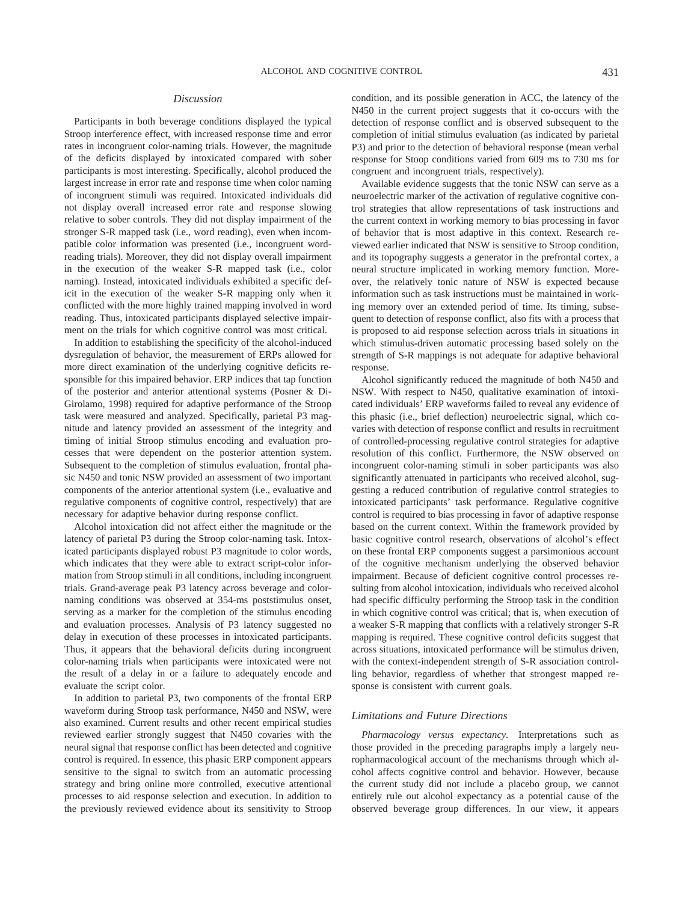## *Discussion*

Participants in both beverage conditions displayed the typical Stroop interference effect, with increased response time and error rates in incongruent color-naming trials. However, the magnitude of the deficits displayed by intoxicated compared with sober participants is most interesting. Specifically, alcohol produced the largest increase in error rate and response time when color naming of incongruent stimuli was required. Intoxicated individuals did not display overall increased error rate and response slowing relative to sober controls. They did not display impairment of the stronger S-R mapped task (i.e., word reading), even when incompatible color information was presented (i.e., incongruent wordreading trials). Moreover, they did not display overall impairment in the execution of the weaker S-R mapped task (i.e., color naming). Instead, intoxicated individuals exhibited a specific deficit in the execution of the weaker S-R mapping only when it conflicted with the more highly trained mapping involved in word reading. Thus, intoxicated participants displayed selective impairment on the trials for which cognitive control was most critical.

In addition to establishing the specificity of the alcohol-induced dysregulation of behavior, the measurement of ERPs allowed for more direct examination of the underlying cognitive deficits responsible for this impaired behavior. ERP indices that tap function of the posterior and anterior attentional systems (Posner & Di-Girolamo, 1998) required for adaptive performance of the Stroop task were measured and analyzed. Specifically, parietal P3 magnitude and latency provided an assessment of the integrity and timing of initial Stroop stimulus encoding and evaluation processes that were dependent on the posterior attention system. Subsequent to the completion of stimulus evaluation, frontal phasic N450 and tonic NSW provided an assessment of two important components of the anterior attentional system (i.e., evaluative and regulative components of cognitive control, respectively) that are necessary for adaptive behavior during response conflict.

Alcohol intoxication did not affect either the magnitude or the latency of parietal P3 during the Stroop color-naming task. Intoxicated participants displayed robust P3 magnitude to color words, which indicates that they were able to extract script-color information from Stroop stimuli in all conditions, including incongruent trials. Grand-average peak P3 latency across beverage and colornaming conditions was observed at 354-ms poststimulus onset, serving as a marker for the completion of the stimulus encoding and evaluation processes. Analysis of P3 latency suggested no delay in execution of these processes in intoxicated participants. Thus, it appears that the behavioral deficits during incongruent color-naming trials when participants were intoxicated were not the result of a delay in or a failure to adequately encode and evaluate the script color.

In addition to parietal P3, two components of the frontal ERP waveform during Stroop task performance, N450 and NSW, were also examined. Current results and other recent empirical studies reviewed earlier strongly suggest that N450 covaries with the neural signal that response conflict has been detected and cognitive control is required. In essence, this phasic ERP component appears sensitive to the signal to switch from an automatic processing strategy and bring online more controlled, executive attentional processes to aid response selection and execution. In addition to the previously reviewed evidence about its sensitivity to Stroop condition, and its possible generation in ACC, the latency of the N450 in the current project suggests that it co-occurs with the detection of response conflict and is observed subsequent to the completion of initial stimulus evaluation (as indicated by parietal P3) and prior to the detection of behavioral response (mean verbal response for Stoop conditions varied from 609 ms to 730 ms for congruent and incongruent trials, respectively).

Available evidence suggests that the tonic NSW can serve as a neuroelectric marker of the activation of regulative cognitive control strategies that allow representations of task instructions and the current context in working memory to bias processing in favor of behavior that is most adaptive in this context. Research reviewed earlier indicated that NSW is sensitive to Stroop condition, and its topography suggests a generator in the prefrontal cortex, a neural structure implicated in working memory function. Moreover, the relatively tonic nature of NSW is expected because information such as task instructions must be maintained in working memory over an extended period of time. Its timing, subsequent to detection of response conflict, also fits with a process that is proposed to aid response selection across trials in situations in which stimulus-driven automatic processing based solely on the strength of S-R mappings is not adequate for adaptive behavioral response.

Alcohol significantly reduced the magnitude of both N450 and NSW. With respect to N450, qualitative examination of intoxicated individuals' ERP waveforms failed to reveal any evidence of this phasic (i.e., brief deflection) neuroelectric signal, which covaries with detection of response conflict and results in recruitment of controlled-processing regulative control strategies for adaptive resolution of this conflict. Furthermore, the NSW observed on incongruent color-naming stimuli in sober participants was also significantly attenuated in participants who received alcohol, suggesting a reduced contribution of regulative control strategies to intoxicated participants' task performance. Regulative cognitive control is required to bias processing in favor of adaptive response based on the current context. Within the framework provided by basic cognitive control research, observations of alcohol's effect on these frontal ERP components suggest a parsimonious account of the cognitive mechanism underlying the observed behavior impairment. Because of deficient cognitive control processes resulting from alcohol intoxication, individuals who received alcohol had specific difficulty performing the Stroop task in the condition in which cognitive control was critical; that is, when execution of a weaker S-R mapping that conflicts with a relatively stronger S-R mapping is required. These cognitive control deficits suggest that across situations, intoxicated performance will be stimulus driven, with the context-independent strength of S-R association controlling behavior, regardless of whether that strongest mapped response is consistent with current goals.

#### *Limitations and Future Directions*

*Pharmacology versus expectancy.* Interpretations such as those provided in the preceding paragraphs imply a largely neuropharmacological account of the mechanisms through which alcohol affects cognitive control and behavior. However, because the current study did not include a placebo group, we cannot entirely rule out alcohol expectancy as a potential cause of the observed beverage group differences. In our view, it appears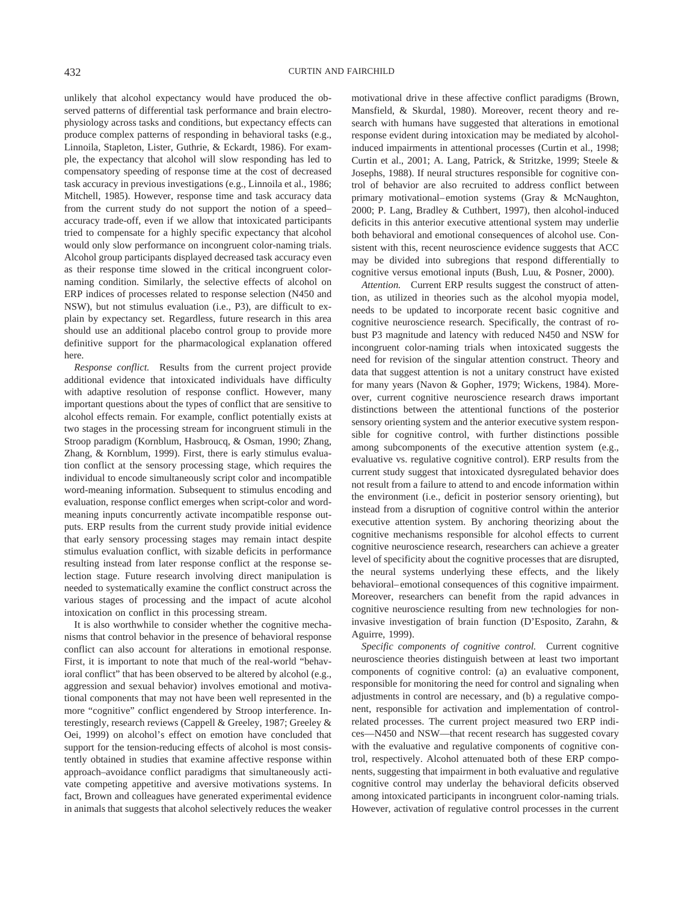unlikely that alcohol expectancy would have produced the observed patterns of differential task performance and brain electrophysiology across tasks and conditions, but expectancy effects can produce complex patterns of responding in behavioral tasks (e.g., Linnoila, Stapleton, Lister, Guthrie, & Eckardt, 1986). For example, the expectancy that alcohol will slow responding has led to compensatory speeding of response time at the cost of decreased task accuracy in previous investigations (e.g., Linnoila et al., 1986; Mitchell, 1985). However, response time and task accuracy data from the current study do not support the notion of a speed– accuracy trade-off, even if we allow that intoxicated participants tried to compensate for a highly specific expectancy that alcohol would only slow performance on incongruent color-naming trials. Alcohol group participants displayed decreased task accuracy even as their response time slowed in the critical incongruent colornaming condition. Similarly, the selective effects of alcohol on ERP indices of processes related to response selection (N450 and NSW), but not stimulus evaluation (i.e., P3), are difficult to explain by expectancy set. Regardless, future research in this area should use an additional placebo control group to provide more definitive support for the pharmacological explanation offered here.

*Response conflict.* Results from the current project provide additional evidence that intoxicated individuals have difficulty with adaptive resolution of response conflict. However, many important questions about the types of conflict that are sensitive to alcohol effects remain. For example, conflict potentially exists at two stages in the processing stream for incongruent stimuli in the Stroop paradigm (Kornblum, Hasbroucq, & Osman, 1990; Zhang, Zhang, & Kornblum, 1999). First, there is early stimulus evaluation conflict at the sensory processing stage, which requires the individual to encode simultaneously script color and incompatible word-meaning information. Subsequent to stimulus encoding and evaluation, response conflict emerges when script-color and wordmeaning inputs concurrently activate incompatible response outputs. ERP results from the current study provide initial evidence that early sensory processing stages may remain intact despite stimulus evaluation conflict, with sizable deficits in performance resulting instead from later response conflict at the response selection stage. Future research involving direct manipulation is needed to systematically examine the conflict construct across the various stages of processing and the impact of acute alcohol intoxication on conflict in this processing stream.

It is also worthwhile to consider whether the cognitive mechanisms that control behavior in the presence of behavioral response conflict can also account for alterations in emotional response. First, it is important to note that much of the real-world "behavioral conflict" that has been observed to be altered by alcohol (e.g., aggression and sexual behavior) involves emotional and motivational components that may not have been well represented in the more "cognitive" conflict engendered by Stroop interference. Interestingly, research reviews (Cappell & Greeley, 1987; Greeley & Oei, 1999) on alcohol's effect on emotion have concluded that support for the tension-reducing effects of alcohol is most consistently obtained in studies that examine affective response within approach–avoidance conflict paradigms that simultaneously activate competing appetitive and aversive motivations systems. In fact, Brown and colleagues have generated experimental evidence in animals that suggests that alcohol selectively reduces the weaker motivational drive in these affective conflict paradigms (Brown, Mansfield, & Skurdal, 1980). Moreover, recent theory and research with humans have suggested that alterations in emotional response evident during intoxication may be mediated by alcoholinduced impairments in attentional processes (Curtin et al., 1998; Curtin et al., 2001; A. Lang, Patrick, & Stritzke, 1999; Steele & Josephs, 1988). If neural structures responsible for cognitive control of behavior are also recruited to address conflict between primary motivational–emotion systems (Gray & McNaughton, 2000; P. Lang, Bradley & Cuthbert, 1997), then alcohol-induced deficits in this anterior executive attentional system may underlie both behavioral and emotional consequences of alcohol use. Consistent with this, recent neuroscience evidence suggests that ACC may be divided into subregions that respond differentially to cognitive versus emotional inputs (Bush, Luu, & Posner, 2000).

*Attention.* Current ERP results suggest the construct of attention, as utilized in theories such as the alcohol myopia model, needs to be updated to incorporate recent basic cognitive and cognitive neuroscience research. Specifically, the contrast of robust P3 magnitude and latency with reduced N450 and NSW for incongruent color-naming trials when intoxicated suggests the need for revision of the singular attention construct. Theory and data that suggest attention is not a unitary construct have existed for many years (Navon & Gopher, 1979; Wickens, 1984). Moreover, current cognitive neuroscience research draws important distinctions between the attentional functions of the posterior sensory orienting system and the anterior executive system responsible for cognitive control, with further distinctions possible among subcomponents of the executive attention system (e.g., evaluative vs. regulative cognitive control). ERP results from the current study suggest that intoxicated dysregulated behavior does not result from a failure to attend to and encode information within the environment (i.e., deficit in posterior sensory orienting), but instead from a disruption of cognitive control within the anterior executive attention system. By anchoring theorizing about the cognitive mechanisms responsible for alcohol effects to current cognitive neuroscience research, researchers can achieve a greater level of specificity about the cognitive processes that are disrupted, the neural systems underlying these effects, and the likely behavioral–emotional consequences of this cognitive impairment. Moreover, researchers can benefit from the rapid advances in cognitive neuroscience resulting from new technologies for noninvasive investigation of brain function (D'Esposito, Zarahn, & Aguirre, 1999).

*Specific components of cognitive control.* Current cognitive neuroscience theories distinguish between at least two important components of cognitive control: (a) an evaluative component, responsible for monitoring the need for control and signaling when adjustments in control are necessary, and (b) a regulative component, responsible for activation and implementation of controlrelated processes. The current project measured two ERP indices—N450 and NSW—that recent research has suggested covary with the evaluative and regulative components of cognitive control, respectively. Alcohol attenuated both of these ERP components, suggesting that impairment in both evaluative and regulative cognitive control may underlay the behavioral deficits observed among intoxicated participants in incongruent color-naming trials. However, activation of regulative control processes in the current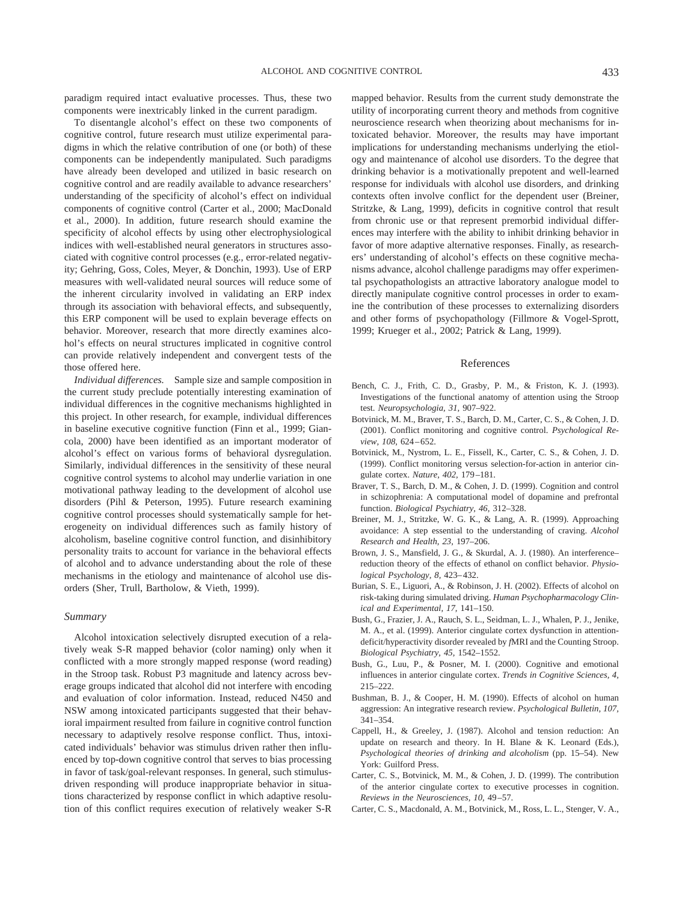paradigm required intact evaluative processes. Thus, these two components were inextricably linked in the current paradigm.

To disentangle alcohol's effect on these two components of cognitive control, future research must utilize experimental paradigms in which the relative contribution of one (or both) of these components can be independently manipulated. Such paradigms have already been developed and utilized in basic research on cognitive control and are readily available to advance researchers' understanding of the specificity of alcohol's effect on individual components of cognitive control (Carter et al., 2000; MacDonald et al., 2000). In addition, future research should examine the specificity of alcohol effects by using other electrophysiological indices with well-established neural generators in structures associated with cognitive control processes (e.g., error-related negativity; Gehring, Goss, Coles, Meyer, & Donchin, 1993). Use of ERP measures with well-validated neural sources will reduce some of the inherent circularity involved in validating an ERP index through its association with behavioral effects, and subsequently, this ERP component will be used to explain beverage effects on behavior. Moreover, research that more directly examines alcohol's effects on neural structures implicated in cognitive control can provide relatively independent and convergent tests of the those offered here.

*Individual differences.* Sample size and sample composition in the current study preclude potentially interesting examination of individual differences in the cognitive mechanisms highlighted in this project. In other research, for example, individual differences in baseline executive cognitive function (Finn et al., 1999; Giancola, 2000) have been identified as an important moderator of alcohol's effect on various forms of behavioral dysregulation. Similarly, individual differences in the sensitivity of these neural cognitive control systems to alcohol may underlie variation in one motivational pathway leading to the development of alcohol use disorders (Pihl & Peterson, 1995). Future research examining cognitive control processes should systematically sample for heterogeneity on individual differences such as family history of alcoholism, baseline cognitive control function, and disinhibitory personality traits to account for variance in the behavioral effects of alcohol and to advance understanding about the role of these mechanisms in the etiology and maintenance of alcohol use disorders (Sher, Trull, Bartholow, & Vieth, 1999).

#### *Summary*

Alcohol intoxication selectively disrupted execution of a relatively weak S-R mapped behavior (color naming) only when it conflicted with a more strongly mapped response (word reading) in the Stroop task. Robust P3 magnitude and latency across beverage groups indicated that alcohol did not interfere with encoding and evaluation of color information. Instead, reduced N450 and NSW among intoxicated participants suggested that their behavioral impairment resulted from failure in cognitive control function necessary to adaptively resolve response conflict. Thus, intoxicated individuals' behavior was stimulus driven rather then influenced by top-down cognitive control that serves to bias processing in favor of task/goal-relevant responses. In general, such stimulusdriven responding will produce inappropriate behavior in situations characterized by response conflict in which adaptive resolution of this conflict requires execution of relatively weaker S-R mapped behavior. Results from the current study demonstrate the utility of incorporating current theory and methods from cognitive neuroscience research when theorizing about mechanisms for intoxicated behavior. Moreover, the results may have important implications for understanding mechanisms underlying the etiology and maintenance of alcohol use disorders. To the degree that drinking behavior is a motivationally prepotent and well-learned response for individuals with alcohol use disorders, and drinking contexts often involve conflict for the dependent user (Breiner, Stritzke, & Lang, 1999), deficits in cognitive control that result from chronic use or that represent premorbid individual differences may interfere with the ability to inhibit drinking behavior in favor of more adaptive alternative responses. Finally, as researchers' understanding of alcohol's effects on these cognitive mechanisms advance, alcohol challenge paradigms may offer experimental psychopathologists an attractive laboratory analogue model to directly manipulate cognitive control processes in order to examine the contribution of these processes to externalizing disorders and other forms of psychopathology (Fillmore & Vogel-Sprott, 1999; Krueger et al., 2002; Patrick & Lang, 1999).

#### References

- Bench, C. J., Frith, C. D., Grasby, P. M., & Friston, K. J. (1993). Investigations of the functional anatomy of attention using the Stroop test. *Neuropsychologia, 31,* 907–922.
- Botvinick, M. M., Braver, T. S., Barch, D. M., Carter, C. S., & Cohen, J. D. (2001). Conflict monitoring and cognitive control. *Psychological Review, 108,* 624–652.
- Botvinick, M., Nystrom, L. E., Fissell, K., Carter, C. S., & Cohen, J. D. (1999). Conflict monitoring versus selection-for-action in anterior cingulate cortex. *Nature, 402,* 179–181.
- Braver, T. S., Barch, D. M., & Cohen, J. D. (1999). Cognition and control in schizophrenia: A computational model of dopamine and prefrontal function. *Biological Psychiatry, 46,* 312–328.
- Breiner, M. J., Stritzke, W. G. K., & Lang, A. R. (1999). Approaching avoidance: A step essential to the understanding of craving. *Alcohol Research and Health, 23,* 197–206.
- Brown, J. S., Mansfield, J. G., & Skurdal, A. J. (1980). An interference– reduction theory of the effects of ethanol on conflict behavior. *Physiological Psychology, 8,* 423–432.
- Burian, S. E., Liguori, A., & Robinson, J. H. (2002). Effects of alcohol on risk-taking during simulated driving. *Human Psychopharmacology Clinical and Experimental, 17,* 141–150.
- Bush, G., Frazier, J. A., Rauch, S. L., Seidman, L. J., Whalen, P. J., Jenike, M. A., et al. (1999). Anterior cingulate cortex dysfunction in attentiondeficit/hyperactivity disorder revealed by *f*MRI and the Counting Stroop. *Biological Psychiatry, 45,* 1542–1552.
- Bush, G., Luu, P., & Posner, M. I. (2000). Cognitive and emotional influences in anterior cingulate cortex. *Trends in Cognitive Sciences, 4,* 215–222.
- Bushman, B. J., & Cooper, H. M. (1990). Effects of alcohol on human aggression: An integrative research review. *Psychological Bulletin, 107,* 341–354.
- Cappell, H., & Greeley, J. (1987). Alcohol and tension reduction: An update on research and theory. In H. Blane & K. Leonard (Eds.), *Psychological theories of drinking and alcoholism* (pp. 15–54). New York: Guilford Press.
- Carter, C. S., Botvinick, M. M., & Cohen, J. D. (1999). The contribution of the anterior cingulate cortex to executive processes in cognition. *Reviews in the Neurosciences, 10,* 49–57.
- Carter, C. S., Macdonald, A. M., Botvinick, M., Ross, L. L., Stenger, V. A.,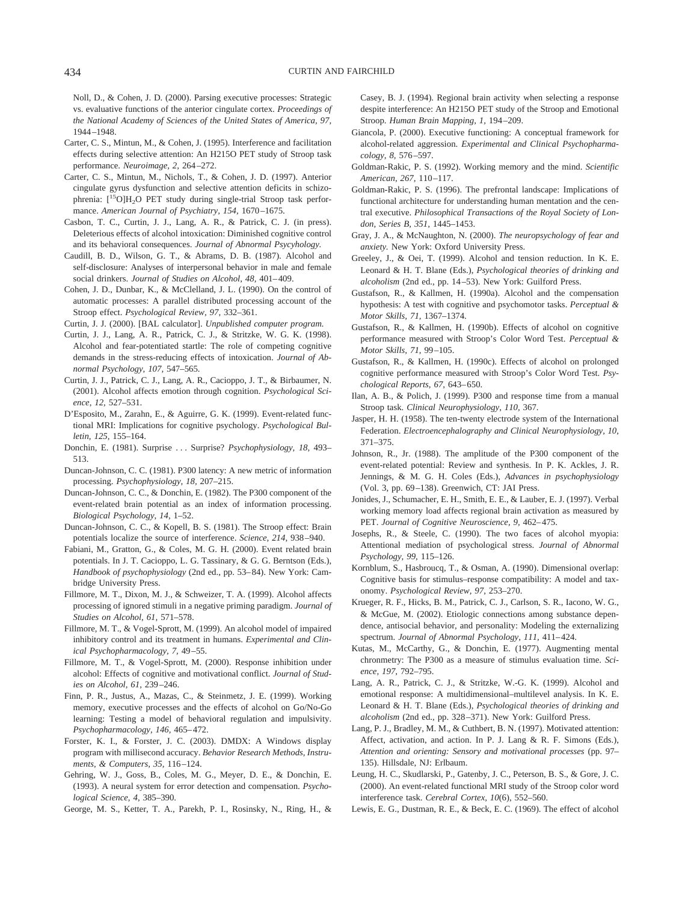Noll, D., & Cohen, J. D. (2000). Parsing executive processes: Strategic vs. evaluative functions of the anterior cingulate cortex. *Proceedings of the National Academy of Sciences of the United States of America, 97,* 1944–1948.

- Carter, C. S., Mintun, M., & Cohen, J. (1995). Interference and facilitation effects during selective attention: An H215O PET study of Stroop task performance. *Neuroimage, 2,* 264–272.
- Carter, C. S., Mintun, M., Nichols, T., & Cohen, J. D. (1997). Anterior cingulate gyrus dysfunction and selective attention deficits in schizophrenia: [<sup>15</sup>O]H<sub>2</sub>O PET study during single-trial Stroop task performance. *American Journal of Psychiatry, 154,* 1670–1675.
- Casbon, T. C., Curtin, J. J., Lang, A. R., & Patrick, C. J. (in press). Deleterious effects of alcohol intoxication: Diminished cognitive control and its behavioral consequences. *Journal of Abnormal Psycyhology.*
- Caudill, B. D., Wilson, G. T., & Abrams, D. B. (1987). Alcohol and self-disclosure: Analyses of interpersonal behavior in male and female social drinkers. *Journal of Studies on Alcohol, 48,* 401–409.
- Cohen, J. D., Dunbar, K., & McClelland, J. L. (1990). On the control of automatic processes: A parallel distributed processing account of the Stroop effect. *Psychological Review, 97,* 332–361.
- Curtin, J. J. (2000). [BAL calculator]. *Unpublished computer program.*
- Curtin, J. J., Lang, A. R., Patrick, C. J., & Stritzke, W. G. K. (1998). Alcohol and fear-potentiated startle: The role of competing cognitive demands in the stress-reducing effects of intoxication. *Journal of Abnormal Psychology, 107,* 547–565.
- Curtin, J. J., Patrick, C. J., Lang, A. R., Cacioppo, J. T., & Birbaumer, N. (2001). Alcohol affects emotion through cognition. *Psychological Science, 12,* 527–531.
- D'Esposito, M., Zarahn, E., & Aguirre, G. K. (1999). Event-related functional MRI: Implications for cognitive psychology. *Psychological Bulletin, 125,* 155–164.
- Donchin, E. (1981). Surprise . . . Surprise? *Psychophysiology, 18,* 493– 513.
- Duncan-Johnson, C. C. (1981). P300 latency: A new metric of information processing. *Psychophysiology, 18,* 207–215.
- Duncan-Johnson, C. C., & Donchin, E. (1982). The P300 component of the event-related brain potential as an index of information processing. *Biological Psychology, 14,* 1–52.
- Duncan-Johnson, C. C., & Kopell, B. S. (1981). The Stroop effect: Brain potentials localize the source of interference. *Science, 214,* 938–940.
- Fabiani, M., Gratton, G., & Coles, M. G. H. (2000). Event related brain potentials. In J. T. Cacioppo, L. G. Tassinary, & G. G. Berntson (Eds.), *Handbook of psychophysiology* (2nd ed., pp. 53–84). New York: Cambridge University Press.
- Fillmore, M. T., Dixon, M. J., & Schweizer, T. A. (1999). Alcohol affects processing of ignored stimuli in a negative priming paradigm. *Journal of Studies on Alcohol, 61,* 571–578.
- Fillmore, M. T., & Vogel-Sprott, M. (1999). An alcohol model of impaired inhibitory control and its treatment in humans. *Experimental and Clinical Psychopharmacology, 7,* 49–55.
- Fillmore, M. T., & Vogel-Sprott, M. (2000). Response inhibition under alcohol: Effects of cognitive and motivational conflict. *Journal of Studies on Alcohol, 61,* 239–246.
- Finn, P. R., Justus, A., Mazas, C., & Steinmetz, J. E. (1999). Working memory, executive processes and the effects of alcohol on Go/No-Go learning: Testing a model of behavioral regulation and impulsivity. *Psychopharmacology, 146,* 465–472.
- Forster, K. I., & Forster, J. C. (2003). DMDX: A Windows display program with millisecond accuracy. *Behavior Research Methods, Instruments, & Computers, 35,* 116–124.
- Gehring, W. J., Goss, B., Coles, M. G., Meyer, D. E., & Donchin, E. (1993). A neural system for error detection and compensation. *Psychological Science, 4,* 385–390.
- George, M. S., Ketter, T. A., Parekh, P. I., Rosinsky, N., Ring, H., &

Casey, B. J. (1994). Regional brain activity when selecting a response despite interference: An H215O PET study of the Stroop and Emotional Stroop. *Human Brain Mapping, 1,* 194–209.

- Giancola, P. (2000). Executive functioning: A conceptual framework for alcohol-related aggression. *Experimental and Clinical Psychopharmacology, 8,* 576–597.
- Goldman-Rakic, P. S. (1992). Working memory and the mind. *Scientific American, 267,* 110–117.
- Goldman-Rakic, P. S. (1996). The prefrontal landscape: Implications of functional architecture for understanding human mentation and the central executive. *Philosophical Transactions of the Royal Society of London, Series B, 351,* 1445–1453.
- Gray, J. A., & McNaughton, N. (2000). *The neuropsychology of fear and anxiety.* New York: Oxford University Press.
- Greeley, J., & Oei, T. (1999). Alcohol and tension reduction. In K. E. Leonard & H. T. Blane (Eds.), *Psychological theories of drinking and alcoholism* (2nd ed., pp. 14–53). New York: Guilford Press.
- Gustafson, R., & Kallmen, H. (1990a). Alcohol and the compensation hypothesis: A test with cognitive and psychomotor tasks. *Perceptual & Motor Skills, 71,* 1367–1374.
- Gustafson, R., & Kallmen, H. (1990b). Effects of alcohol on cognitive performance measured with Stroop's Color Word Test. *Perceptual & Motor Skills, 71,* 99–105.
- Gustafson, R., & Kallmen, H. (1990c). Effects of alcohol on prolonged cognitive performance measured with Stroop's Color Word Test. *Psychological Reports, 67,* 643–650.
- Ilan, A. B., & Polich, J. (1999). P300 and response time from a manual Stroop task. *Clinical Neurophysiology, 110,* 367.
- Jasper, H. H. (1958). The ten-twenty electrode system of the International Federation. *Electroencephalography and Clinical Neurophysiology, 10,* 371–375.
- Johnson, R., Jr. (1988). The amplitude of the P300 component of the event-related potential: Review and synthesis. In P. K. Ackles, J. R. Jennings, & M. G. H. Coles (Eds.), *Advances in psychophysiology* (Vol. 3, pp. 69–138). Greenwich, CT: JAI Press.
- Jonides, J., Schumacher, E. H., Smith, E. E., & Lauber, E. J. (1997). Verbal working memory load affects regional brain activation as measured by PET. *Journal of Cognitive Neuroscience, 9,* 462–475.
- Josephs, R., & Steele, C. (1990). The two faces of alcohol myopia: Attentional mediation of psychological stress. *Journal of Abnormal Psychology, 99,* 115–126.
- Kornblum, S., Hasbroucq, T., & Osman, A. (1990). Dimensional overlap: Cognitive basis for stimulus–response compatibility: A model and taxonomy. *Psychological Review, 97,* 253–270.
- Krueger, R. F., Hicks, B. M., Patrick, C. J., Carlson, S. R., Iacono, W. G., & McGue, M. (2002). Etiologic connections among substance dependence, antisocial behavior, and personality: Modeling the externalizing spectrum. *Journal of Abnormal Psychology, 111,* 411–424.
- Kutas, M., McCarthy, G., & Donchin, E. (1977). Augmenting mental chronmetry: The P300 as a measure of stimulus evaluation time. *Science, 197,* 792–795.
- Lang, A. R., Patrick, C. J., & Stritzke, W.-G. K. (1999). Alcohol and emotional response: A multidimensional–multilevel analysis. In K. E. Leonard & H. T. Blane (Eds.), *Psychological theories of drinking and alcoholism* (2nd ed., pp. 328–371). New York: Guilford Press.
- Lang, P. J., Bradley, M. M., & Cuthbert, B. N. (1997). Motivated attention: Affect, activation, and action. In P. J. Lang & R. F. Simons (Eds.), *Attention and orienting: Sensory and motivational processes* (pp. 97– 135). Hillsdale, NJ: Erlbaum.
- Leung, H. C., Skudlarski, P., Gatenby, J. C., Peterson, B. S., & Gore, J. C. (2000). An event-related functional MRI study of the Stroop color word interference task. *Cerebral Cortex, 10*(6), 552–560.
- Lewis, E. G., Dustman, R. E., & Beck, E. C. (1969). The effect of alcohol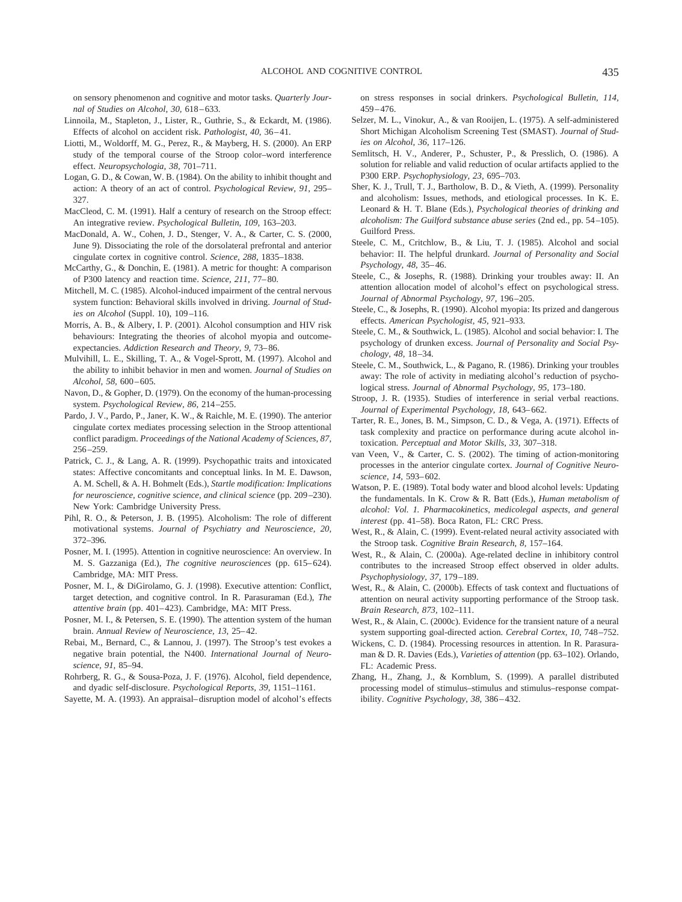on sensory phenomenon and cognitive and motor tasks. *Quarterly Journal of Studies on Alcohol, 30,* 618–633.

- Linnoila, M., Stapleton, J., Lister, R., Guthrie, S., & Eckardt, M. (1986). Effects of alcohol on accident risk. *Pathologist, 40,* 36–41.
- Liotti, M., Woldorff, M. G., Perez, R., & Mayberg, H. S. (2000). An ERP study of the temporal course of the Stroop color–word interference effect. *Neuropsychologia, 38,* 701–711.
- Logan, G. D., & Cowan, W. B. (1984). On the ability to inhibit thought and action: A theory of an act of control. *Psychological Review, 91,* 295– 327.
- MacCleod, C. M. (1991). Half a century of research on the Stroop effect: An integrative review. *Psychological Bulletin, 109,* 163–203.
- MacDonald, A. W., Cohen, J. D., Stenger, V. A., & Carter, C. S. (2000, June 9). Dissociating the role of the dorsolateral prefrontal and anterior cingulate cortex in cognitive control. *Science, 288,* 1835–1838.
- McCarthy, G., & Donchin, E. (1981). A metric for thought: A comparison of P300 latency and reaction time. *Science, 211,* 77–80.
- Mitchell, M. C. (1985). Alcohol-induced impairment of the central nervous system function: Behavioral skills involved in driving. *Journal of Studies on Alcohol* (Suppl. 10), 109–116.
- Morris, A. B., & Albery, I. P. (2001). Alcohol consumption and HIV risk behaviours: Integrating the theories of alcohol myopia and outcomeexpectancies. *Addiction Research and Theory, 9,* 73–86.
- Mulvihill, L. E., Skilling, T. A., & Vogel-Sprott, M. (1997). Alcohol and the ability to inhibit behavior in men and women. *Journal of Studies on Alcohol, 58,* 600–605.
- Navon, D., & Gopher, D. (1979). On the economy of the human-processing system. *Psychological Review, 86,* 214–255.
- Pardo, J. V., Pardo, P., Janer, K. W., & Raichle, M. E. (1990). The anterior cingulate cortex mediates processing selection in the Stroop attentional conflict paradigm. *Proceedings of the National Academy of Sciences, 87,* 256–259.
- Patrick, C. J., & Lang, A. R. (1999). Psychopathic traits and intoxicated states: Affective concomitants and conceptual links. In M. E. Dawson, A. M. Schell, & A. H. Bohmelt (Eds.), *Startle modification: Implications for neuroscience, cognitive science, and clinical science* (pp. 209–230). New York: Cambridge University Press.
- Pihl, R. O., & Peterson, J. B. (1995). Alcoholism: The role of different motivational systems. *Journal of Psychiatry and Neuroscience, 20,* 372–396.
- Posner, M. I. (1995). Attention in cognitive neuroscience: An overview. In M. S. Gazzaniga (Ed.), *The cognitive neurosciences* (pp. 615–624). Cambridge, MA: MIT Press.
- Posner, M. I., & DiGirolamo, G. J. (1998). Executive attention: Conflict, target detection, and cognitive control. In R. Parasuraman (Ed.), *The attentive brain* (pp. 401–423). Cambridge, MA: MIT Press.
- Posner, M. I., & Petersen, S. E. (1990). The attention system of the human brain. *Annual Review of Neuroscience, 13,* 25–42.
- Rebai, M., Bernard, C., & Lannou, J. (1997). The Stroop's test evokes a negative brain potential, the N400. *International Journal of Neuroscience, 91,* 85–94.
- Rohrberg, R. G., & Sousa-Poza, J. F. (1976). Alcohol, field dependence, and dyadic self-disclosure. *Psychological Reports, 39,* 1151–1161.
- Sayette, M. A. (1993). An appraisal–disruption model of alcohol's effects

on stress responses in social drinkers. *Psychological Bulletin, 114,* 459–476.

- Selzer, M. L., Vinokur, A., & van Rooijen, L. (1975). A self-administered Short Michigan Alcoholism Screening Test (SMAST). *Journal of Studies on Alcohol, 36,* 117–126.
- Semlitsch, H. V., Anderer, P., Schuster, P., & Presslich, O. (1986). A solution for reliable and valid reduction of ocular artifacts applied to the P300 ERP. *Psychophysiology, 23,* 695–703.
- Sher, K. J., Trull, T. J., Bartholow, B. D., & Vieth, A. (1999). Personality and alcoholism: Issues, methods, and etiological processes. In K. E. Leonard & H. T. Blane (Eds.), *Psychological theories of drinking and alcoholism: The Guilford substance abuse series* (2nd ed., pp. 54–105). Guilford Press.
- Steele, C. M., Critchlow, B., & Liu, T. J. (1985). Alcohol and social behavior: II. The helpful drunkard. *Journal of Personality and Social Psychology, 48,* 35–46.
- Steele, C., & Josephs, R. (1988). Drinking your troubles away: II. An attention allocation model of alcohol's effect on psychological stress. *Journal of Abnormal Psychology, 97,* 196–205.
- Steele, C., & Josephs, R. (1990). Alcohol myopia: Its prized and dangerous effects. *American Psychologist, 45,* 921–933.
- Steele, C. M., & Southwick, L. (1985). Alcohol and social behavior: I. The psychology of drunken excess. *Journal of Personality and Social Psychology, 48,* 18–34.
- Steele, C. M., Southwick, L., & Pagano, R. (1986). Drinking your troubles away: The role of activity in mediating alcohol's reduction of psychological stress. *Journal of Abnormal Psychology, 95,* 173–180.
- Stroop, J. R. (1935). Studies of interference in serial verbal reactions. *Journal of Experimental Psychology, 18,* 643–662.
- Tarter, R. E., Jones, B. M., Simpson, C. D., & Vega, A. (1971). Effects of task complexity and practice on performance during acute alcohol intoxication. *Perceptual and Motor Skills, 33,* 307–318.
- van Veen, V., & Carter, C. S. (2002). The timing of action-monitoring processes in the anterior cingulate cortex. *Journal of Cognitive Neuroscience, 14,* 593–602.
- Watson, P. E. (1989). Total body water and blood alcohol levels: Updating the fundamentals. In K. Crow & R. Batt (Eds.), *Human metabolism of alcohol: Vol. 1. Pharmacokinetics, medicolegal aspects, and general interest* (pp. 41–58). Boca Raton, FL: CRC Press.
- West, R., & Alain, C. (1999). Event-related neural activity associated with the Stroop task. *Cognitive Brain Research, 8,* 157–164.
- West, R., & Alain, C. (2000a). Age-related decline in inhibitory control contributes to the increased Stroop effect observed in older adults. *Psychophysiology, 37,* 179–189.
- West, R., & Alain, C. (2000b). Effects of task context and fluctuations of attention on neural activity supporting performance of the Stroop task. *Brain Research, 873,* 102–111.
- West, R., & Alain, C. (2000c). Evidence for the transient nature of a neural system supporting goal-directed action. *Cerebral Cortex, 10,* 748–752.
- Wickens, C. D. (1984). Processing resources in attention. In R. Parasuraman & D. R. Davies (Eds.), *Varieties of attention* (pp. 63–102). Orlando, FL: Academic Press.
- Zhang, H., Zhang, J., & Kornblum, S. (1999). A parallel distributed processing model of stimulus–stimulus and stimulus–response compatibility. *Cognitive Psychology, 38,* 386–432.